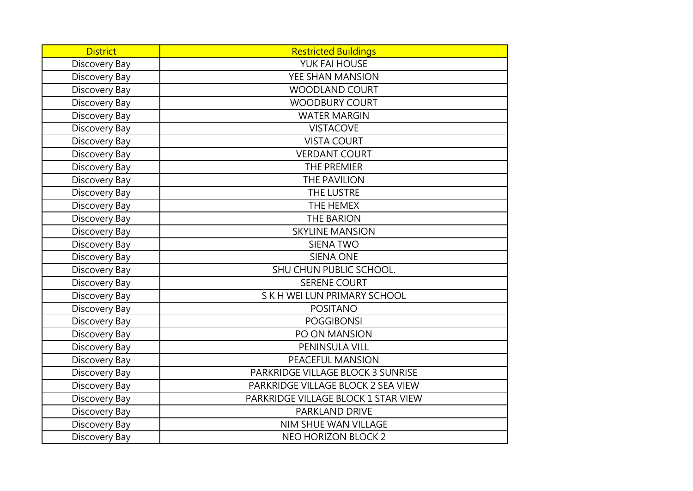| <b>District</b> | <b>Restricted Buildings</b>         |
|-----------------|-------------------------------------|
| Discovery Bay   | YUK FAI HOUSE                       |
| Discovery Bay   | YEE SHAN MANSION                    |
| Discovery Bay   | <b>WOODLAND COURT</b>               |
| Discovery Bay   | <b>WOODBURY COURT</b>               |
| Discovery Bay   | <b>WATER MARGIN</b>                 |
| Discovery Bay   | <b>VISTACOVE</b>                    |
| Discovery Bay   | <b>VISTA COURT</b>                  |
| Discovery Bay   | <b>VERDANT COURT</b>                |
| Discovery Bay   | THE PREMIER                         |
| Discovery Bay   | THE PAVILION                        |
| Discovery Bay   | THE LUSTRE                          |
| Discovery Bay   | THE HEMEX                           |
| Discovery Bay   | <b>THE BARION</b>                   |
| Discovery Bay   | <b>SKYLINE MANSION</b>              |
| Discovery Bay   | <b>SIENA TWO</b>                    |
| Discovery Bay   | <b>SIENA ONE</b>                    |
| Discovery Bay   | SHU CHUN PUBLIC SCHOOL.             |
| Discovery Bay   | <b>SERENE COURT</b>                 |
| Discovery Bay   | S K H WEI LUN PRIMARY SCHOOL        |
| Discovery Bay   | <b>POSITANO</b>                     |
| Discovery Bay   | <b>POGGIBONSI</b>                   |
| Discovery Bay   | PO ON MANSION                       |
| Discovery Bay   | PENINSULA VILL                      |
| Discovery Bay   | PEACEFUL MANSION                    |
| Discovery Bay   | PARKRIDGE VILLAGE BLOCK 3 SUNRISE   |
| Discovery Bay   | PARKRIDGE VILLAGE BLOCK 2 SEA VIEW  |
| Discovery Bay   | PARKRIDGE VILLAGE BLOCK 1 STAR VIEW |
| Discovery Bay   | PARKLAND DRIVE                      |
| Discovery Bay   | <b>NIM SHUE WAN VILLAGE</b>         |
| Discovery Bay   | <b>NEO HORIZON BLOCK 2</b>          |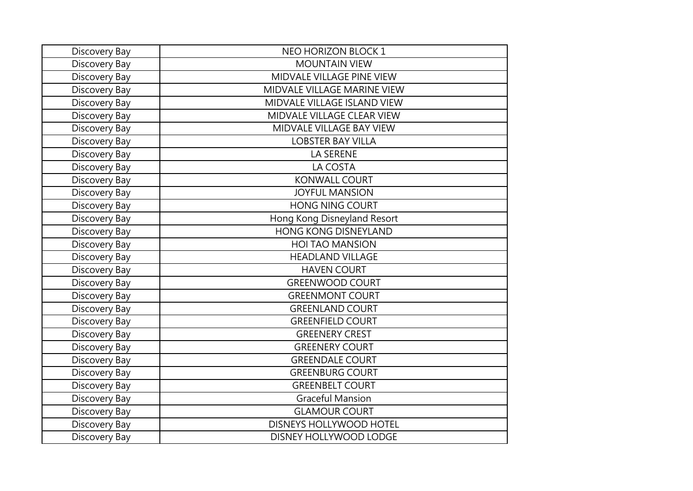| Discovery Bay | NEO HORIZON BLOCK 1         |
|---------------|-----------------------------|
| Discovery Bay | <b>MOUNTAIN VIEW</b>        |
| Discovery Bay | MIDVALE VILLAGE PINE VIEW   |
| Discovery Bay | MIDVALE VILLAGE MARINE VIEW |
| Discovery Bay | MIDVALE VILLAGE ISLAND VIEW |
| Discovery Bay | MIDVALE VILLAGE CLEAR VIEW  |
| Discovery Bay | MIDVALE VILLAGE BAY VIEW    |
| Discovery Bay | <b>LOBSTER BAY VILLA</b>    |
| Discovery Bay | LA SERENE                   |
| Discovery Bay | LA COSTA                    |
| Discovery Bay | <b>KONWALL COURT</b>        |
| Discovery Bay | <b>JOYFUL MANSION</b>       |
| Discovery Bay | <b>HONG NING COURT</b>      |
| Discovery Bay | Hong Kong Disneyland Resort |
| Discovery Bay | <b>HONG KONG DISNEYLAND</b> |
| Discovery Bay | <b>HOI TAO MANSION</b>      |
| Discovery Bay | <b>HEADLAND VILLAGE</b>     |
| Discovery Bay | <b>HAVEN COURT</b>          |
| Discovery Bay | <b>GREENWOOD COURT</b>      |
| Discovery Bay | <b>GREENMONT COURT</b>      |
| Discovery Bay | <b>GREENLAND COURT</b>      |
| Discovery Bay | <b>GREENFIELD COURT</b>     |
| Discovery Bay | <b>GREENERY CREST</b>       |
| Discovery Bay | <b>GREENERY COURT</b>       |
| Discovery Bay | <b>GREENDALE COURT</b>      |
| Discovery Bay | <b>GREENBURG COURT</b>      |
| Discovery Bay | <b>GREENBELT COURT</b>      |
| Discovery Bay | <b>Graceful Mansion</b>     |
| Discovery Bay | <b>GLAMOUR COURT</b>        |
| Discovery Bay | DISNEYS HOLLYWOOD HOTEL     |
| Discovery Bay | DISNEY HOLLYWOOD LODGE      |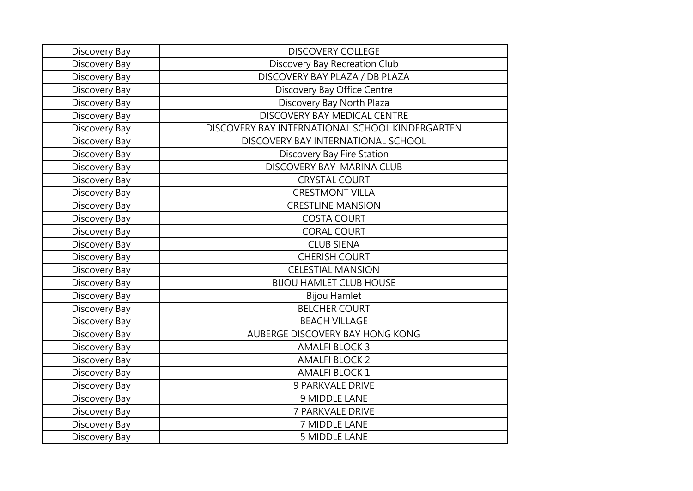| Discovery Bay | <b>DISCOVERY COLLEGE</b>                        |
|---------------|-------------------------------------------------|
| Discovery Bay | Discovery Bay Recreation Club                   |
| Discovery Bay | DISCOVERY BAY PLAZA / DB PLAZA                  |
| Discovery Bay | Discovery Bay Office Centre                     |
| Discovery Bay | Discovery Bay North Plaza                       |
| Discovery Bay | DISCOVERY BAY MEDICAL CENTRE                    |
| Discovery Bay | DISCOVERY BAY INTERNATIONAL SCHOOL KINDERGARTEN |
| Discovery Bay | DISCOVERY BAY INTERNATIONAL SCHOOL              |
| Discovery Bay | Discovery Bay Fire Station                      |
| Discovery Bay | DISCOVERY BAY MARINA CLUB                       |
| Discovery Bay | <b>CRYSTAL COURT</b>                            |
| Discovery Bay | <b>CRESTMONT VILLA</b>                          |
| Discovery Bay | <b>CRESTLINE MANSION</b>                        |
| Discovery Bay | <b>COSTA COURT</b>                              |
| Discovery Bay | <b>CORAL COURT</b>                              |
| Discovery Bay | <b>CLUB SIENA</b>                               |
| Discovery Bay | <b>CHERISH COURT</b>                            |
| Discovery Bay | <b>CELESTIAL MANSION</b>                        |
| Discovery Bay | <b>BIJOU HAMLET CLUB HOUSE</b>                  |
| Discovery Bay | <b>Bijou Hamlet</b>                             |
| Discovery Bay | <b>BELCHER COURT</b>                            |
| Discovery Bay | <b>BEACH VILLAGE</b>                            |
| Discovery Bay | AUBERGE DISCOVERY BAY HONG KONG                 |
| Discovery Bay | <b>AMALFI BLOCK 3</b>                           |
| Discovery Bay | <b>AMALFI BLOCK 2</b>                           |
| Discovery Bay | <b>AMALFI BLOCK 1</b>                           |
| Discovery Bay | <b>9 PARKVALE DRIVE</b>                         |
| Discovery Bay | 9 MIDDLE LANE                                   |
| Discovery Bay | 7 PARKVALE DRIVE                                |
| Discovery Bay | 7 MIDDLE LANE                                   |
| Discovery Bay | <b>5 MIDDLE LANE</b>                            |